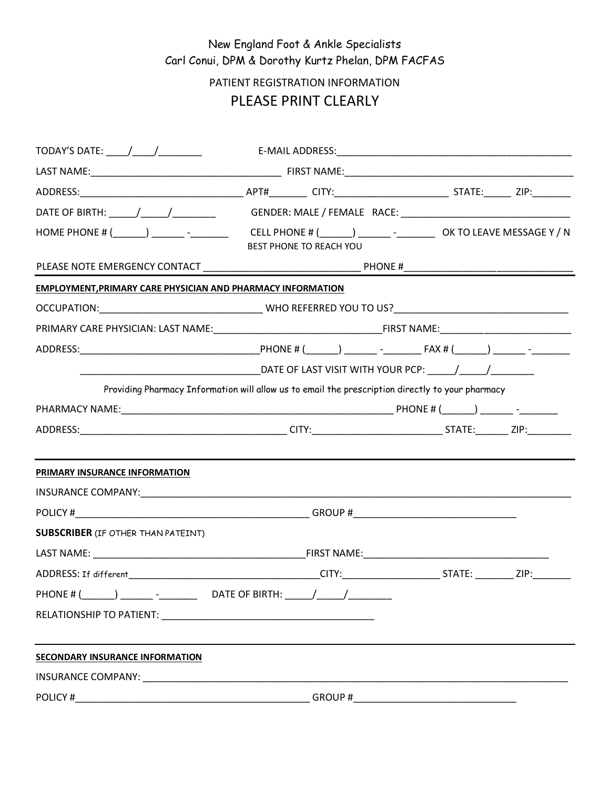## New England Foot & Ankle Specialists Carl Conui, DPM & Dorothy Kurtz Phelan, DPM FACFAS

## PATIENT REGISTRATION INFORMATION PLEASE PRINT CLEARLY

| TODAY'S DATE: _____/_____/__________                                                                                                                                                                                                                                                                                                            | E-MAIL ADDRESS: North and the contract of the contract of the contract of the contract of the contract of the contract of the contract of the contract of the contract of the contract of the contract of the contract of the |  |
|-------------------------------------------------------------------------------------------------------------------------------------------------------------------------------------------------------------------------------------------------------------------------------------------------------------------------------------------------|-------------------------------------------------------------------------------------------------------------------------------------------------------------------------------------------------------------------------------|--|
|                                                                                                                                                                                                                                                                                                                                                 |                                                                                                                                                                                                                               |  |
|                                                                                                                                                                                                                                                                                                                                                 |                                                                                                                                                                                                                               |  |
|                                                                                                                                                                                                                                                                                                                                                 |                                                                                                                                                                                                                               |  |
| HOME PHONE # (______) _______ -_________  CELL PHONE # (______) _______ -_________ OK TO LEAVE MESSAGE Y / N                                                                                                                                                                                                                                    | BEST PHONE TO REACH YOU                                                                                                                                                                                                       |  |
|                                                                                                                                                                                                                                                                                                                                                 |                                                                                                                                                                                                                               |  |
| EMPLOYMENT, PRIMARY CARE PHYSICIAN AND PHARMACY INFORMATION                                                                                                                                                                                                                                                                                     |                                                                                                                                                                                                                               |  |
|                                                                                                                                                                                                                                                                                                                                                 |                                                                                                                                                                                                                               |  |
|                                                                                                                                                                                                                                                                                                                                                 |                                                                                                                                                                                                                               |  |
|                                                                                                                                                                                                                                                                                                                                                 |                                                                                                                                                                                                                               |  |
|                                                                                                                                                                                                                                                                                                                                                 |                                                                                                                                                                                                                               |  |
|                                                                                                                                                                                                                                                                                                                                                 | Providing Pharmacy Information will allow us to email the prescription directly to your pharmacy                                                                                                                              |  |
|                                                                                                                                                                                                                                                                                                                                                 |                                                                                                                                                                                                                               |  |
|                                                                                                                                                                                                                                                                                                                                                 |                                                                                                                                                                                                                               |  |
| PRIMARY INSURANCE INFORMATION                                                                                                                                                                                                                                                                                                                   |                                                                                                                                                                                                                               |  |
|                                                                                                                                                                                                                                                                                                                                                 |                                                                                                                                                                                                                               |  |
|                                                                                                                                                                                                                                                                                                                                                 |                                                                                                                                                                                                                               |  |
| <b>SUBSCRIBER</b> (IF OTHER THAN PATEINT)                                                                                                                                                                                                                                                                                                       |                                                                                                                                                                                                                               |  |
|                                                                                                                                                                                                                                                                                                                                                 |                                                                                                                                                                                                                               |  |
|                                                                                                                                                                                                                                                                                                                                                 |                                                                                                                                                                                                                               |  |
| PHONE # (<br>$\overline{a}$ and $\overline{a}$ and $\overline{a}$ and $\overline{a}$ and $\overline{a}$ and $\overline{a}$ and $\overline{a}$ and $\overline{a}$ and $\overline{a}$ and $\overline{a}$ and $\overline{a}$ and $\overline{a}$ and $\overline{a}$ and $\overline{a}$ and $\overline{a}$ and $\overline{a}$ and $\overline{a}$ and |                                                                                                                                                                                                                               |  |
|                                                                                                                                                                                                                                                                                                                                                 |                                                                                                                                                                                                                               |  |
| SECONDARY INSURANCE INFORMATION                                                                                                                                                                                                                                                                                                                 |                                                                                                                                                                                                                               |  |
|                                                                                                                                                                                                                                                                                                                                                 |                                                                                                                                                                                                                               |  |
| POLICY#                                                                                                                                                                                                                                                                                                                                         | GROUP#                                                                                                                                                                                                                        |  |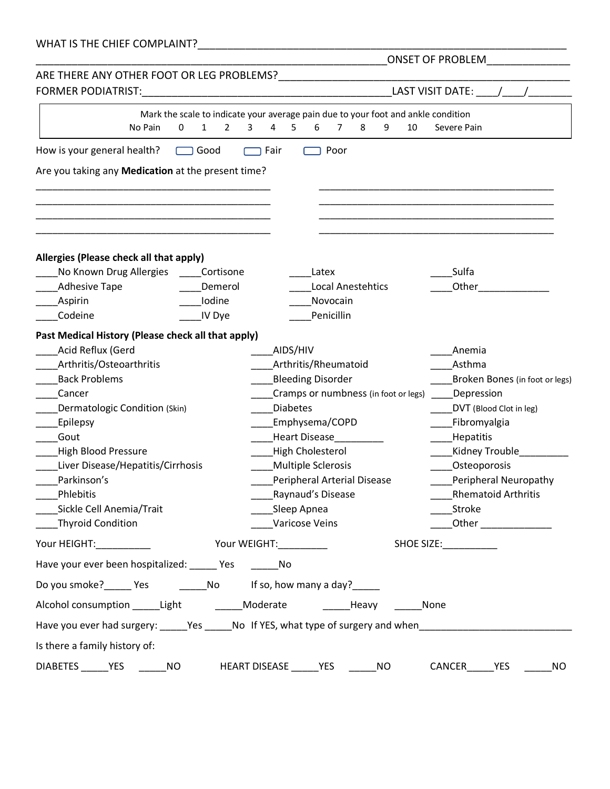| WHAT IS THE CHIEF COMPLAINT? |  |
|------------------------------|--|
|                              |  |

|                                                     |                                     |                                                                                                                | <b>ONSET OF PROBLEM</b>        |
|-----------------------------------------------------|-------------------------------------|----------------------------------------------------------------------------------------------------------------|--------------------------------|
| ARE THERE ANY OTHER FOOT OR LEG PROBLEMS?           |                                     |                                                                                                                |                                |
| <b>FORMER PODIATRIST:</b>                           |                                     |                                                                                                                | LAST VISIT DATE:               |
|                                                     |                                     | Mark the scale to indicate your average pain due to your foot and ankle condition                              |                                |
| No Pain<br>$\mathbf 0$                              | $\mathbf{1}$<br>$\overline{2}$<br>3 | 4<br>5.<br>6<br>$\overline{7}$<br>8<br>9<br>10                                                                 | Severe Pain                    |
| How is your general health?                         | $\Box$ Good                         | Fair<br>Poor                                                                                                   |                                |
| Are you taking any Medication at the present time?  |                                     |                                                                                                                |                                |
|                                                     |                                     |                                                                                                                |                                |
|                                                     |                                     |                                                                                                                |                                |
|                                                     |                                     |                                                                                                                |                                |
| Allergies (Please check all that apply)             |                                     |                                                                                                                |                                |
| No Known Drug Allergies                             | Cortisone                           | Latex                                                                                                          | Sulfa                          |
| <b>Adhesive Tape</b>                                | Demerol                             | <b>Local Anestehtics</b>                                                                                       | Other                          |
| Aspirin                                             | Iodine                              | Novocain                                                                                                       |                                |
| Codeine                                             | IV Dye                              | Penicillin                                                                                                     |                                |
| Past Medical History (Please check all that apply)  |                                     |                                                                                                                |                                |
| Acid Reflux (Gerd                                   |                                     | AIDS/HIV                                                                                                       | Anemia                         |
| Arthritis/Osteoarthritis                            |                                     | Arthritis/Rheumatoid                                                                                           | Asthma                         |
| <b>Back Problems</b>                                |                                     | <b>Bleeding Disorder</b>                                                                                       | Broken Bones (in foot or legs) |
| Cancer                                              |                                     | Cramps or numbness (in foot or legs)                                                                           | Depression                     |
| Dermatologic Condition (Skin)                       |                                     | <b>Diabetes</b>                                                                                                | DVT (Blood Clot in leg)        |
| Epilepsy                                            |                                     | Emphysema/COPD                                                                                                 | Fibromyalgia                   |
| Gout                                                |                                     | Heart Disease                                                                                                  | <b>Hepatitis</b>               |
| <b>High Blood Pressure</b>                          |                                     | High Cholesterol                                                                                               | Kidney Trouble                 |
| Liver Disease/Hepatitis/Cirrhosis                   |                                     | <b>Multiple Sclerosis</b>                                                                                      | Osteoporosis                   |
| Parkinson's                                         |                                     | Peripheral Arterial Disease                                                                                    | Peripheral Neuropathy          |
| Phlebitis                                           |                                     | Raynaud's Disease                                                                                              | <b>Rhematoid Arthritis</b>     |
| Sickle Cell Anemia/Trait                            |                                     | Sleep Apnea                                                                                                    | Stroke                         |
| Thyroid Condition                                   |                                     | Varicose Veins                                                                                                 | Other _______________          |
|                                                     |                                     |                                                                                                                | SHOE SIZE: ____________        |
| Have your ever been hospitalized: ______ Yes ______ |                                     | No                                                                                                             |                                |
|                                                     |                                     |                                                                                                                |                                |
|                                                     |                                     | Alcohol consumption Light Moderate Heavy None                                                                  |                                |
|                                                     |                                     | Have you ever had surgery: ______Yes ______No If YES, what type of surgery and when __________________________ |                                |
| Is there a family history of:                       |                                     |                                                                                                                |                                |
|                                                     |                                     | DIABETES YES NO HEART DISEASE YES NO CANCER YES                                                                | NO                             |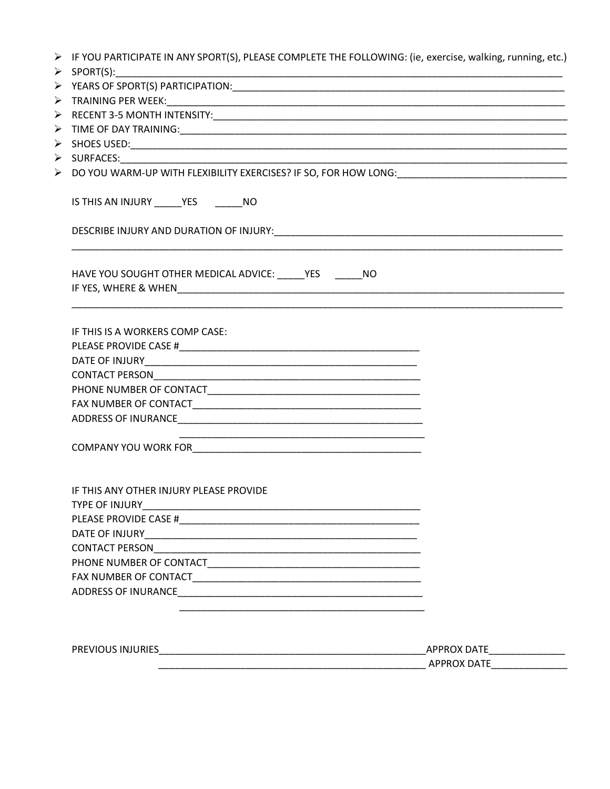| IS THIS AN INJURY ______ YES ________ NO                   |                    |
|------------------------------------------------------------|--------------------|
|                                                            |                    |
| HAVE YOU SOUGHT OTHER MEDICAL ADVICE: _____ YES _______ NO |                    |
| IF THIS IS A WORKERS COMP CASE:                            |                    |
|                                                            |                    |
|                                                            |                    |
|                                                            |                    |
|                                                            |                    |
|                                                            |                    |
|                                                            |                    |
| IF THIS ANY OTHER INJURY PLEASE PROVIDE                    |                    |
|                                                            |                    |
|                                                            |                    |
|                                                            |                    |
|                                                            |                    |
|                                                            |                    |
|                                                            |                    |
|                                                            |                    |
|                                                            |                    |
|                                                            |                    |
|                                                            | <b>APPROX DATE</b> |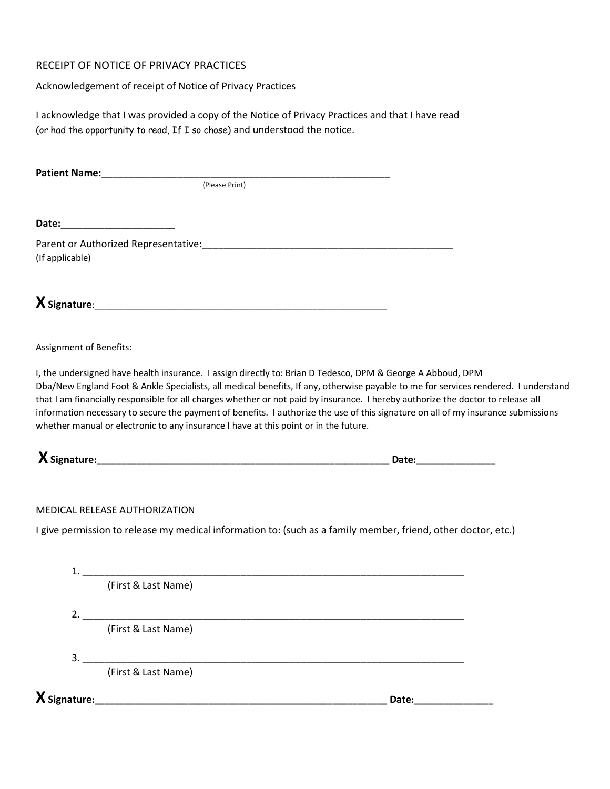## RECEIPT OF NOTICE OF PRIVACY PRACTICES

Acknowledgement of receipt of Notice of Privacy Practices

I acknowledge that I was provided a copy of the Notice of Privacy Practices and that I have read (or had the opportunity to read, If I so chose) and understood the notice.

**Patient Name:**\_\_\_\_\_\_\_\_\_\_\_\_\_\_\_\_\_\_\_\_\_\_\_\_\_\_\_\_\_\_\_\_\_\_\_\_\_\_\_\_\_\_\_\_\_\_\_\_\_\_\_\_\_

(Please Print)

**Date:**\_\_\_\_\_\_\_\_\_\_\_\_\_\_\_\_\_\_\_\_\_

Parent or Authorized Representative:\_\_\_\_\_\_\_\_\_\_\_\_\_\_\_\_\_\_\_\_\_\_\_\_\_\_\_\_\_\_\_\_\_\_\_\_\_\_\_\_\_\_\_\_\_\_ (If applicable)

 $\boldsymbol{\chi}$  Signature:

Assignment of Benefits:

I, the undersigned have health insurance. I assign directly to: Brian D Tedesco, DPM & George A Abboud, DPM Dba/New England Foot & Ankle Specialists, all medical benefits, If any, otherwise payable to me for services rendered. I understand that I am financially responsible for all charges whether or not paid by insurance. I hereby authorize the doctor to release all information necessary to secure the payment of benefits. I authorize the use of this signature on all of my insurance submissions whether manual or electronic to any insurance I have at this point or in the future.

**XSignature:\_\_\_\_\_\_\_\_\_\_\_\_\_\_\_\_\_\_\_\_\_\_\_\_\_\_\_\_\_\_\_\_\_\_\_\_\_\_\_\_\_\_\_\_\_\_\_\_\_\_\_\_\_\_\_\_\_\_\_ Date:\_\_\_\_\_\_\_\_\_\_\_\_\_\_\_\_**

MEDICAL RELEASE AUTHORIZATION

I give permission to release my medical information to: (such as a family member, friend, other doctor, etc.)

|                     | (First & Last Name)                                                                                                  |       |
|---------------------|----------------------------------------------------------------------------------------------------------------------|-------|
| 2.                  |                                                                                                                      |       |
|                     | (First & Last Name)                                                                                                  |       |
| 3.                  |                                                                                                                      |       |
|                     | (First & Last Name)                                                                                                  |       |
| $\bm{X}$ Signature: | <u> 1980 - Jan Stein Stein Stein Stein Stein Stein Stein Stein Stein Stein Stein Stein Stein Stein Stein Stein S</u> | Date: |